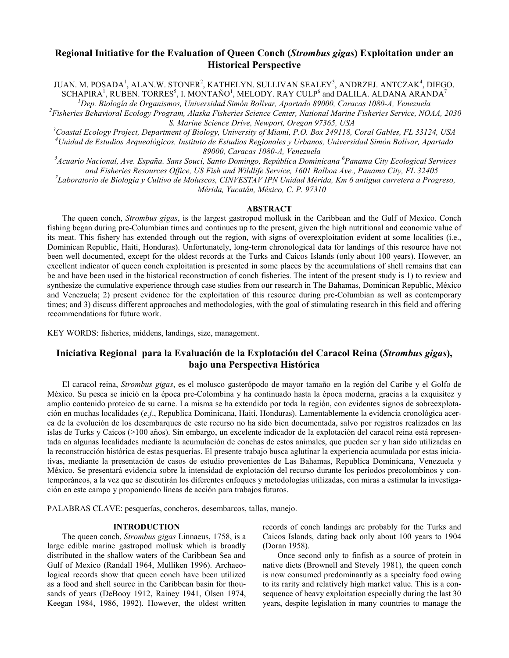## Regional Initiative for the Evaluation of Queen Conch (Strombus gigas) Exploitation under an Historical Perspective

JUAN. M. POSADA<sup>1</sup>, ALAN.W. STONER<sup>2</sup>, KATHELYN. SULLIVAN SEALEY<sup>3</sup>, ANDRZEJ. ANTCZAK<sup>4</sup>, DIEGO. SCHAPIRA<sup>1</sup>, RUBEN. TORRES<sup>5</sup>, I. MONTAÑO<sup>1</sup>, MELODY. RAY CULP<sup>6</sup> and DALILA. ALDANA ARANDA<sup>7</sup>

 ${}^{1}$ Dep. Biología de Organismos, Universidad Simón Bolívar, Apartado 89000, Caracas 1080-A, Venezuela  ${}^{2}$ Fisheries Behavioral Ecology Program, Alaska Fisheries Science Center, National Marine Fisheries Service, NOAA, 2030 S. Marine Science Drive, Newport, Oregon 97365, USA

<sup>3</sup>Coastal Ecology Project, Department of Biology, University of Miami, P.O. Box 249118, Coral Gables, FL 33124, USA  $^{4}$ Unidad de Estudios Arqueológicos, Instituto de Estudios Regionales y Urbanos, Universidad Simón Bolívar, Apartado 89000, Caracas 1080-A, Venezuela

<sup>5</sup>Acuario Nacional, Ave. España. Sans Souci, Santo Domingo, República Dominicana <sup>6</sup>Panama City Ecological Services and Fisheries Resources Office, US Fish and Wildlife Service, 1601 Balboa Ave., Panama City, FL 32405  $^7$ Laboratorio de Biología y Cultivo de Moluscos, CINVESTAV IPN Unidad Mérida, Km 6 antigua carretera a Progreso, Mérida, Yucatán, México, C. P. 97310

#### ABSTRACT

The queen conch, *Strombus gigas*, is the largest gastropod mollusk in the Caribbean and the Gulf of Mexico. Conch fishing began during pre-Columbian times and continues up to the present, given the high nutritional and economic value of its meat. This fishery has extended through out the region, with signs of overexploitation evident at some localities (i.e., Dominican Republic, Haiti, Honduras). Unfortunately, long-term chronological data for landings of this resource have not been well documented, except for the oldest records at the Turks and Caicos Islands (only about 100 years). However, an excellent indicator of queen conch exploitation is presented in some places by the accumulations of shell remains that can be and have been used in the historical reconstruction of conch fisheries. The intent of the present study is 1) to review and synthesize the cumulative experience through case studies from our research in The Bahamas, Dominican Republic, México and Venezuela; 2) present evidence for the exploitation of this resource during pre-Columbian as well as contemporary times; and 3) discuss different approaches and methodologies, with the goal of stimulating research in this field and offering recommendations for future work.

KEY WORDS: fisheries, middens, landings, size, management.

# Iniciativa Regional para la Evaluación de la Explotación del Caracol Reina (Strombus gigas), bajo una Perspectiva Histórica

El caracol reina, Strombus gigas, es el molusco gasterópodo de mayor tamaño en la región del Caribe y el Golfo de México. Su pesca se inició en la época pre-Colombina y ha continuado hasta la época moderna, gracias a la exquisitez y amplio contenido proteico de su carne. La misma se ha extendido por toda la región, con evidentes signos de sobreexplotación en muchas localidades (e.j., Republica Dominicana, Haití, Honduras). Lamentablemente la evidencia cronológica acerca de la evolución de los desembarques de este recurso no ha sido bien documentada, salvo por registros realizados en las islas de Turks y Caicos (>100 años). Sin embargo, un excelente indicador de la explotación del caracol reina está representada en algunas localidades mediante la acumulación de conchas de estos animales, que pueden ser y han sido utilizadas en la reconstrucción histórica de estas pesquerías. El presente trabajo busca aglutinar la experiencia acumulada por estas iniciativas, mediante la presentación de casos de estudio provenientes de Las Bahamas, Republica Dominicana, Venezuela y México. Se presentará evidencia sobre la intensidad de explotación del recurso durante los periodos precolombinos y contemporáneos, a la vez que se discutirán los diferentes enfoques y metodologías utilizadas, con miras a estimular la investigación en este campo y proponiendo líneas de acción para trabajos futuros.

PALABRAS CLAVE: pesquerías, concheros, desembarcos, tallas, manejo.

## INTRODUCTION

The queen conch, Strombus gigas Linnaeus, 1758, is a large edible marine gastropod mollusk which is broadly distributed in the shallow waters of the Caribbean Sea and Gulf of Mexico (Randall 1964, Mulliken 1996). Archaeological records show that queen conch have been utilized as a food and shell source in the Caribbean basin for thousands of years (DeBooy 1912, Rainey 1941, Olsen 1974, Keegan 1984, 1986, 1992). However, the oldest written records of conch landings are probably for the Turks and Caicos Islands, dating back only about 100 years to 1904 (Doran 1958).

Once second only to finfish as a source of protein in native diets (Brownell and Stevely 1981), the queen conch is now consumed predominantly as a specialty food owing to its rarity and relatively high market value. This is a consequence of heavy exploitation especially during the last 30 years, despite legislation in many countries to manage the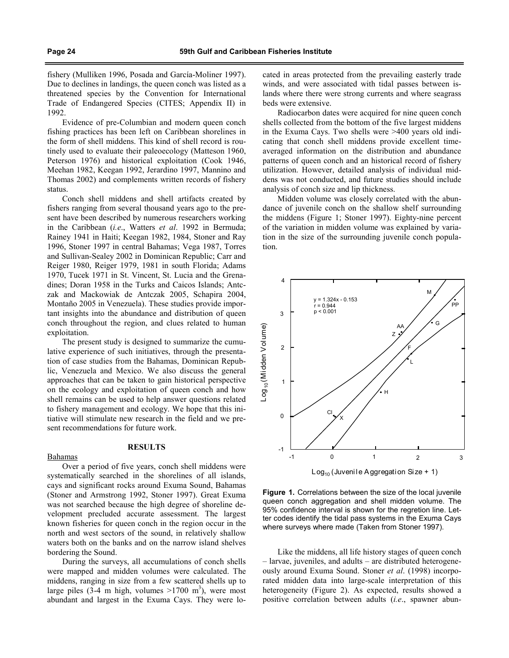fishery (Mulliken 1996, Posada and García-Moliner 1997). Due to declines in landings, the queen conch was listed as a threatened species by the Convention for International Trade of Endangered Species (CITES; Appendix II) in 1992.

Evidence of pre-Columbian and modern queen conch fishing practices has been left on Caribbean shorelines in the form of shell middens. This kind of shell record is routinely used to evaluate their paleoecology (Matteson 1960, Peterson 1976) and historical exploitation (Cook 1946, Meehan 1982, Keegan 1992, Jerardino 1997, Mannino and Thomas 2002) and complements written records of fishery status.

Conch shell middens and shell artifacts created by fishers ranging from several thousand years ago to the present have been described by numerous researchers working in the Caribbean (i.e., Watters et al. 1992 in Bermuda; Rainey 1941 in Haiti; Keegan 1982, 1984, Stoner and Ray 1996, Stoner 1997 in central Bahamas; Vega 1987, Torres and Sullivan-Sealey 2002 in Dominican Republic; Carr and Reiger 1980, Reiger 1979, 1981 in south Florida; Adams 1970, Tucek 1971 in St. Vincent, St. Lucia and the Grenadines; Doran 1958 in the Turks and Caicos Islands; Antczak and Mackowiak de Antczak 2005, Schapira 2004, Montaño 2005 in Venezuela). These studies provide important insights into the abundance and distribution of queen conch throughout the region, and clues related to human exploitation.

The present study is designed to summarize the cumulative experience of such initiatives, through the presentation of case studies from the Bahamas, Dominican Republic, Venezuela and Mexico. We also discuss the general approaches that can be taken to gain historical perspective on the ecology and exploitation of queen conch and how shell remains can be used to help answer questions related to fishery management and ecology. We hope that this initiative will stimulate new research in the field and we present recommendations for future work.

#### RESULTS

## Bahamas

Over a period of five years, conch shell middens were systematically searched in the shorelines of all islands, cays and significant rocks around Exuma Sound, Bahamas (Stoner and Armstrong 1992, Stoner 1997). Great Exuma was not searched because the high degree of shoreline development precluded accurate assessment. The largest known fisheries for queen conch in the region occur in the north and west sectors of the sound, in relatively shallow waters both on the banks and on the narrow island shelves bordering the Sound.

During the surveys, all accumulations of conch shells were mapped and midden volumes were calculated. The middens, ranging in size from a few scattered shells up to large piles  $(3-4 \text{ m high}, \text{volumes} > 1700 \text{ m}^3)$ , were most abundant and largest in the Exuma Cays. They were located in areas protected from the prevailing easterly trade winds, and were associated with tidal passes between islands where there were strong currents and where seagrass beds were extensive.

Radiocarbon dates were acquired for nine queen conch shells collected from the bottom of the five largest middens in the Exuma Cays. Two shells were >400 years old indicating that conch shell middens provide excellent timeaveraged information on the distribution and abundance patterns of queen conch and an historical record of fishery utilization. However, detailed analysis of individual middens was not conducted, and future studies should include analysis of conch size and lip thickness.

Midden volume was closely correlated with the abundance of juvenile conch on the shallow shelf surrounding the middens (Figure 1; Stoner 1997). Eighty-nine percent of the variation in midden volume was explained by variation in the size of the surrounding juvenile conch population.



Figure 1. Correlations between the size of the local juvenile queen conch aggregation and shell midden volume. The 95% confidence interval is shown for the regretion line. Letter codes identify the tidal pass systems in the Exuma Cays where surveys where made (Taken from Stoner 1997).

Like the middens, all life history stages of queen conch – larvae, juveniles, and adults – are distributed heterogeneously around Exuma Sound. Stoner et al. (1998) incorporated midden data into large-scale interpretation of this heterogeneity (Figure 2). As expected, results showed a positive correlation between adults (i.e., spawner abun-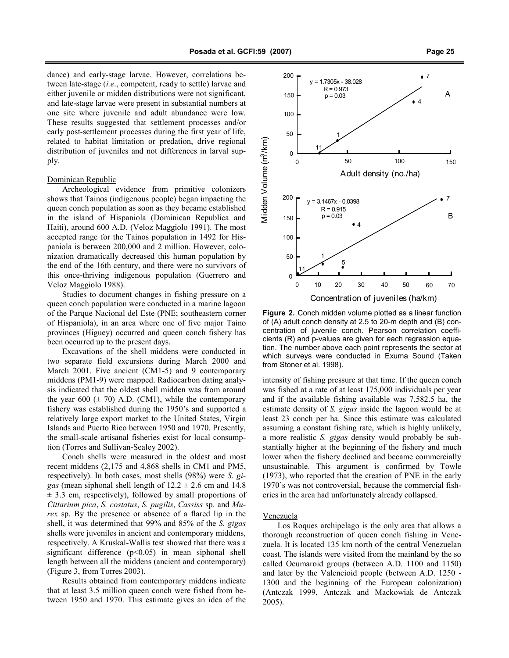dance) and early-stage larvae. However, correlations between late-stage (i.e., competent, ready to settle) larvae and either juvenile or midden distributions were not significant, and late-stage larvae were present in substantial numbers at one site where juvenile and adult abundance were low. These results suggested that settlement processes and/or early post-settlement processes during the first year of life, related to habitat limitation or predation, drive regional distribution of juveniles and not differences in larval supply.

#### Dominican Republic

Archeological evidence from primitive colonizers shows that Tainos (indigenous people) began impacting the queen conch population as soon as they became established in the island of Hispaniola (Dominican Republica and Haiti), around 600 A.D. (Veloz Maggiolo 1991). The most accepted range for the Tainos population in 1492 for Hispaniola is between 200,000 and 2 million. However, colonization dramatically decreased this human population by the end of the 16th century, and there were no survivors of this once-thriving indigenous population (Guerrero and Veloz Maggiolo 1988).

Studies to document changes in fishing pressure on a queen conch population were conducted in a marine lagoon of the Parque Nacional del Este (PNE; southeastern corner of Hispaniola), in an area where one of five major Taino provinces (Higuey) occurred and queen conch fishery has been occurred up to the present days.

Excavations of the shell middens were conducted in two separate field excursions during March 2000 and March 2001. Five ancient (CM1-5) and 9 contemporary middens (PM1-9) were mapped. Radiocarbon dating analysis indicated that the oldest shell midden was from around the year 600  $(\pm 70)$  A.D. (CM1), while the contemporary fishery was established during the 1950's and supported a relatively large export market to the United States, Virgin Islands and Puerto Rico between 1950 and 1970. Presently, the small-scale artisanal fisheries exist for local consumption (Torres and Sullivan-Sealey 2002).

Conch shells were measured in the oldest and most recent middens (2,175 and 4,868 shells in CM1 and PM5, respectively). In both cases, most shells (98%) were S. gigas (mean siphonal shell length of  $12.2 \pm 2.6$  cm and  $14.8$  $\pm$  3.3 cm, respectively), followed by small proportions of Cittarium pica, S. costatus, S. pugilis, Cassiss sp. and Murex sp. By the presence or absence of a flared lip in the shell, it was determined that 99% and 85% of the S. gigas shells were juveniles in ancient and contemporary middens, respectively. A Kruskal-Wallis test showed that there was a significant difference  $(p<0.05)$  in mean siphonal shell length between all the middens (ancient and contemporary) (Figure 3, from Torres 2003).

Results obtained from contemporary middens indicate that at least 3.5 million queen conch were fished from between 1950 and 1970. This estimate gives an idea of the



Figure 2. Conch midden volume plotted as a linear function of (A) adult conch density at 2.5 to 20-m depth and (B) concentration of juvenile conch. Pearson correlation coefficients (R) and p-values are given for each regression equation. The number above each point represents the sector at which surveys were conducted in Exuma Sound (Taken from Stoner et al. 1998).

intensity of fishing pressure at that time. If the queen conch was fished at a rate of at least 175,000 individuals per year and if the available fishing available was 7,582.5 ha, the estimate density of S. gigas inside the lagoon would be at least 23 conch per ha. Since this estimate was calculated assuming a constant fishing rate, which is highly unlikely, a more realistic S. gigas density would probably be substantially higher at the beginning of the fishery and much lower when the fishery declined and became commercially unsustainable. This argument is confirmed by Towle (1973), who reported that the creation of PNE in the early 1970's was not controversial, because the commercial fisheries in the area had unfortunately already collapsed.

## Venezuela

Los Roques archipelago is the only area that allows a thorough reconstruction of queen conch fishing in Venezuela. It is located 135 km north of the central Venezuelan coast. The islands were visited from the mainland by the so called Ocumaroid groups (between A.D. 1100 and 1150) and later by the Valencioid people (between A.D. 1250 - 1300 and the beginning of the European colonization) (Antczak 1999, Antczak and Mackowiak de Antczak 2005).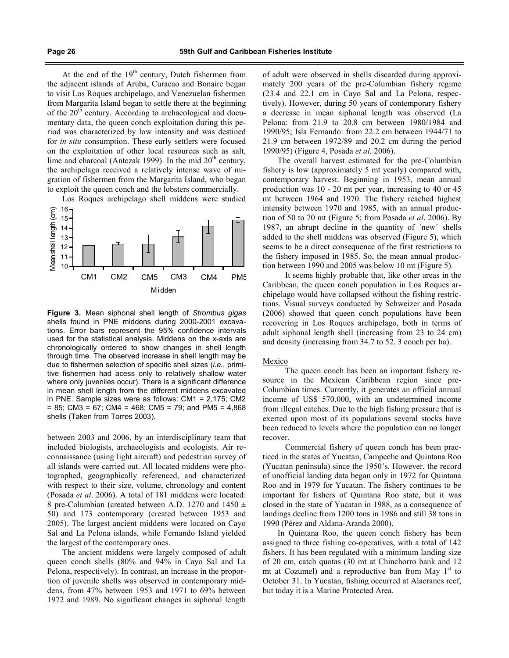At the end of the  $19<sup>th</sup>$  century, Dutch fishermen from the adjacent islands of Aruba, Curacao and Bonaire began to visit Los Roques archipelago, and Venezuelan fishermen from Margarita Island began to settle there at the beginning of the  $20<sup>th</sup>$  century. According to archaeological and documentary data, the queen conch exploitation during this period was characterized by low intensity and was destined for in situ consumption. These early settlers were focused on the exploitation of other local resources such as salt, lime and charcoal (Antczak 1999). In the mid  $20<sup>th</sup>$  century, the archipelago received a relatively intense wave of migration of fishermen from the Margarita Island, who began to exploit the queen conch and the lobsters commercially.

Los Roques archipelago shell middens were studied



Figure 3. Mean siphonal shell length of Strombus gigas shells found in PNE middens during 2000-2001 excavations. Error bars represent the 95% confidence intervals used for the statistical analysis. Middens on the x-axis are chronologically ordered to show changes in shell length through time. The observed increase in shell length may be due to fishermen selection of specific shell sizes (i.e., primitive fishermen had acess only to relatively shallow water where only juveniles occur). There is a significant difference in mean shell length from the different middens excavated in PNE. Sample sizes were as follows: CM1 = 2,175; CM2  $= 85$ ; CM3 = 67; CM4 = 468; CM5 = 79; and PM5 = 4,868 shells (Taken from Torres 2003).

between 2003 and 2006, by an interdisciplinary team that included biologists, archaeologists and ecologists. Air reconnaissance (using light aircraft) and pedestrian survey of all islands were carried out. All located middens were photographed, geographically referenced, and characterized with respect to their size, volume, chronology and content (Posada et al. 2006). A total of 181 middens were located: 8 pre-Columbian (created between A.D. 1270 and 1450  $\pm$ 50) and 173 contemporary (created between 1953 and 2005). The largest ancient middens were located on Cayo Sal and La Pelona islands, while Fernando Island yielded the largest of the contemporary ones.

The ancient middens were largely composed of adult queen conch shells (80% and 94% in Cayo Sal and La Pelona, respectively). In contrast, an increase in the proportion of juvenile shells was observed in contemporary middens, from 47% between 1953 and 1971 to 69% between 1972 and 1989. No significant changes in siphonal length of adult were observed in shells discarded during approximately 200 years of the pre-Columbian fishery regime (23.4 and 22.1 cm in Cayo Sal and La Pelona, respectively). However, during 50 years of contemporary fishery a decrease in mean siphonal length was observed (La Pelona: from 21.9 to 20.8 cm between 1980/1984 and 1990/95; Isla Fernando: from 22.2 cm between 1944/71 to 21.9 cm between 1972/89 and 20.2 cm during the period 1990/95) (Figure 4, Posada et al. 2006).

The overall harvest estimated for the pre-Columbian fishery is low (approximately 5 mt yearly) compared with, contemporary harvest. Beginning in 1953, mean annual production was 10 - 20 mt per year, increasing to 40 or 45 mt between 1964 and 1970. The fishery reached highest intensity between 1970 and 1985, with an annual production of 50 to 70 mt (Figure 5; from Posada et al. 2006). By 1987, an abrupt decline in the quantity of ´new´ shells added to the shell middens was observed (Figure 5), which seems to be a direct consequence of the first restrictions to the fishery imposed in 1985. So, the mean annual production between 1990 and 2005 was below 10 mt (Figure 5).

It seems highly probable that, like other areas in the Caribbean, the queen conch population in Los Roques archipelago would have collapsed without the fishing restrictions. Visual surveys conducted by Schweizer and Posada (2006) showed that queen conch populations have been recovering in Los Roques archipelago, both in terms of adult siphonal length shell (increasing from 23 to 24 cm) and density (increasing from 34.7 to 52. 3 conch per ha).

#### Mexico

The queen conch has been an important fishery resource in the Mexican Caribbean region since pre-Columbian times. Currently, it generates an official annual income of US\$ 570,000, with an undetermined income from illegal catches. Due to the high fishing pressure that is exerted upon most of its populations several stocks have been reduced to levels where the population can no longer recover.

Commercial fishery of queen conch has been practiced in the states of Yucatan, Campeche and Quintana Roo (Yucatan peninsula) since the 1950's. However, the record of unofficial landing data began only in 1972 for Quintana Roo and in 1979 for Yucatan. The fishery continues to be important for fishers of Quintana Roo state, but it was closed in the state of Yucatan in 1988, as a consequence of landings decline from 1200 tons in 1986 and still 38 tons in 1990 (Pérez and Aldana-Aranda 2000).

In Quintana Roo, the queen conch fishery has been assigned to three fishing co-operatives, with a total of 142 fishers. It has been regulated with a minimum landing size of 20 cm, catch quotas (30 mt at Chinchorro bank and 12 mt at Cozumel) and a reproductive ban from May  $1<sup>st</sup>$  to October 31. In Yucatan, fishing occurred at Alacranes reef, but today it is a Marine Protected Area.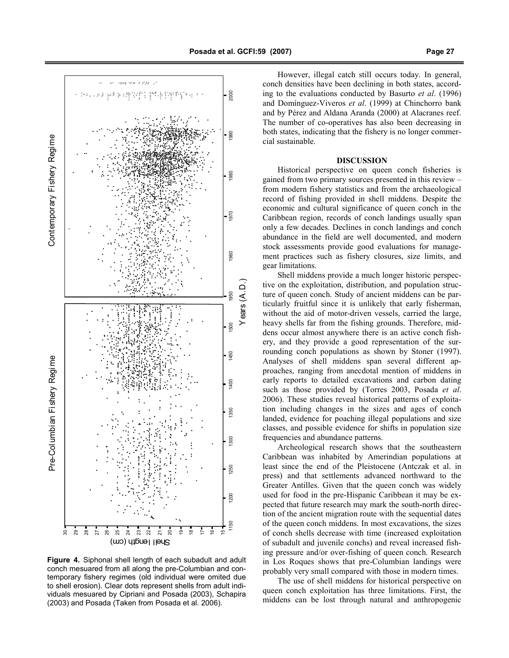

Figure 4. Siphonal shell length of each subadult and adult conch mesuared from all along the pre-Columbian and contemporary fishery regimes (old individual were omited due to shell erosion). Clear dots represent shells from adult individuals mesuared by Cipriani and Posada (2003), Schapira (2003) and Posada (Taken from Posada et al. 2006).

However, illegal catch still occurs today. In general, conch densities have been declining in both states, according to the evaluations conducted by Basurto et al. (1996) and Domínguez-Viveros et al. (1999) at Chinchorro bank and by Pérez and Aldana Aranda (2000) at Alacranes reef. The number of co-operatives has also been decreasing in both states, indicating that the fishery is no longer commercial sustainable.

## DISCUSSION

Historical perspective on queen conch fisheries is gained from two primary sources presented in this review – from modern fishery statistics and from the archaeological record of fishing provided in shell middens. Despite the economic and cultural significance of queen conch in the Caribbean region, records of conch landings usually span only a few decades. Declines in conch landings and conch abundance in the field are well documented, and modern stock assessments provide good evaluations for management practices such as fishery closures, size limits, and gear limitations.

Shell middens provide a much longer historic perspective on the exploitation, distribution, and population structure of queen conch. Study of ancient middens can be particularly fruitful since it is unlikely that early fisherman, without the aid of motor-driven vessels, carried the large, heavy shells far from the fishing grounds. Therefore, middens occur almost anywhere there is an active conch fishery, and they provide a good representation of the surrounding conch populations as shown by Stoner (1997). Analyses of shell middens span several different approaches, ranging from anecdotal mention of middens in early reports to detailed excavations and carbon dating such as those provided by (Torres 2003, Posada et al. 2006). These studies reveal historical patterns of exploitation including changes in the sizes and ages of conch landed, evidence for poaching illegal populations and size classes, and possible evidence for shifts in population size frequencies and abundance patterns.

Archeological research shows that the southeastern Caribbean was inhabited by Amerindian populations at least since the end of the Pleistocene (Antczak et al. in press) and that settlements advanced northward to the Greater Antilles. Given that the queen conch was widely used for food in the pre-Hispanic Caribbean it may be expected that future research may mark the south-north direction of the ancient migration route with the sequential dates of the queen conch middens. In most excavations, the sizes of conch shells decrease with time (increased exploitation of subadult and juvenile conchs) and reveal increased fishing pressure and/or over-fishing of queen conch. Research in Los Roques shows that pre-Columbian landings were probably very small compared with those in modern times.

The use of shell middens for historical perspective on queen conch exploitation has three limitations. First, the middens can be lost through natural and anthropogenic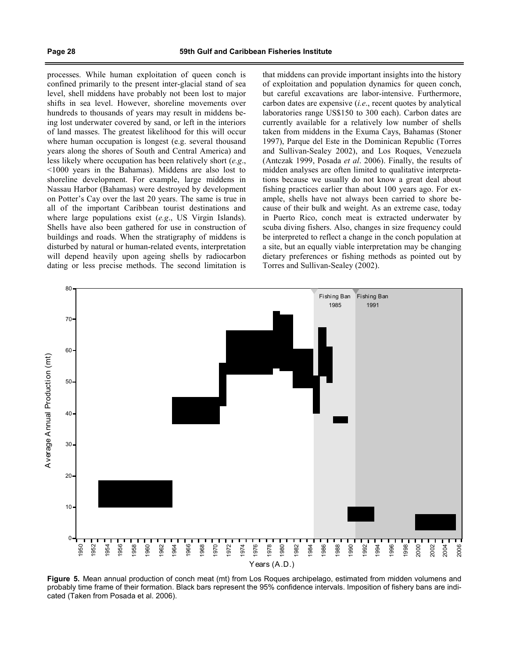processes. While human exploitation of queen conch is confined primarily to the present inter-glacial stand of sea level, shell middens have probably not been lost to major shifts in sea level. However, shoreline movements over hundreds to thousands of years may result in middens being lost underwater covered by sand, or left in the interiors of land masses. The greatest likelihood for this will occur where human occupation is longest (e.g. several thousand years along the shores of South and Central America) and less likely where occupation has been relatively short (e.g., <1000 years in the Bahamas). Middens are also lost to shoreline development. For example, large middens in Nassau Harbor (Bahamas) were destroyed by development on Potter's Cay over the last 20 years. The same is true in all of the important Caribbean tourist destinations and where large populations exist (e.g., US Virgin Islands). Shells have also been gathered for use in construction of buildings and roads. When the stratigraphy of middens is disturbed by natural or human-related events, interpretation will depend heavily upon ageing shells by radiocarbon dating or less precise methods. The second limitation is that middens can provide important insights into the history of exploitation and population dynamics for queen conch, but careful excavations are labor-intensive. Furthermore, carbon dates are expensive (i.e., recent quotes by analytical laboratories range US\$150 to 300 each). Carbon dates are currently available for a relatively low number of shells taken from middens in the Exuma Cays, Bahamas (Stoner 1997), Parque del Este in the Dominican Republic (Torres and Sullivan-Sealey 2002), and Los Roques, Venezuela (Antczak 1999, Posada et al. 2006). Finally, the results of midden analyses are often limited to qualitative interpretations because we usually do not know a great deal about fishing practices earlier than about 100 years ago. For example, shells have not always been carried to shore because of their bulk and weight. As an extreme case, today in Puerto Rico, conch meat is extracted underwater by scuba diving fishers. Also, changes in size frequency could be interpreted to reflect a change in the conch population at a site, but an equally viable interpretation may be changing dietary preferences or fishing methods as pointed out by Torres and Sullivan-Sealey (2002).



Figure 5. Mean annual production of conch meat (mt) from Los Roques archipelago, estimated from midden volumens and probably time frame of their formation. Black bars represent the 95% confidence intervals. Imposition of fishery bans are indicated (Taken from Posada et al. 2006).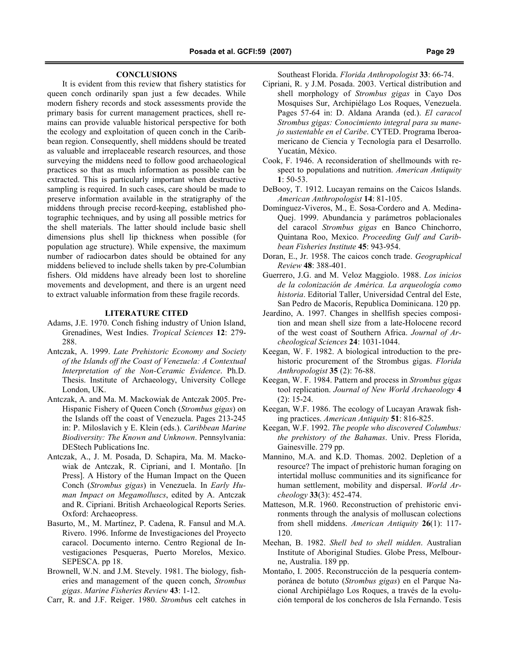## **CONCLUSIONS**

It is evident from this review that fishery statistics for queen conch ordinarily span just a few decades. While modern fishery records and stock assessments provide the primary basis for current management practices, shell remains can provide valuable historical perspective for both the ecology and exploitation of queen conch in the Caribbean region. Consequently, shell middens should be treated as valuable and irreplaceable research resources, and those surveying the middens need to follow good archaeological practices so that as much information as possible can be extracted. This is particularly important when destructive sampling is required. In such cases, care should be made to preserve information available in the stratigraphy of the middens through precise record-keeping, established photographic techniques, and by using all possible metrics for the shell materials. The latter should include basic shell dimensions plus shell lip thickness when possible (for population age structure). While expensive, the maximum number of radiocarbon dates should be obtained for any middens believed to include shells taken by pre-Columbian fishers. Old middens have already been lost to shoreline movements and development, and there is an urgent need to extract valuable information from these fragile records.

## LITERATURE CITED

- Adams, J.E. 1970. Conch fishing industry of Union Island, Grenadines, West Indies. Tropical Sciences 12: 279- 288.
- Antczak, A. 1999. Late Prehistoric Economy and Society of the Islands off the Coast of Venezuela: A Contextual Interpretation of the Non-Ceramic Evidence. Ph.D. Thesis. Institute of Archaeology, University College London, UK.
- Antczak, A. and Ma. M. Mackowiak de Antczak 2005. Pre-Hispanic Fishery of Queen Conch (Strombus gigas) on the Islands off the coast of Venezuela. Pages 213-245 in: P. Miloslavich y E. Klein (eds.). Caribbean Marine Biodiversity: The Known and Unknown. Pennsylvania: DEStech Publications Inc.
- Antczak, A., J. M. Posada, D. Schapira, Ma. M. Mackowiak de Antczak, R. Cipriani, and I. Montaño. [In Press]. A History of the Human Impact on the Queen Conch (Strombus gigas) in Venezuela. In Early Human Impact on Megamolluscs, edited by A. Antczak and R. Cipriani. British Archaeological Reports Series. Oxford: Archaeopress.
- Basurto, M., M. Martínez, P. Cadena, R. Fansul and M.A. Rivero. 1996. Informe de Investigaciones del Proyecto caracol. Documento interno. Centro Regional de Investigaciones Pesqueras, Puerto Morelos, Mexico. SEPESCA. pp 18.
- Brownell, W.N. and J.M. Stevely. 1981. The biology, fisheries and management of the queen conch, Strombus gigas. Marine Fisheries Review 43: 1-12.
- Carr, R. and J.F. Reiger. 1980. Strombus celt catches in

Southeast Florida. Florida Anthropologist 33: 66-74.

- Cipriani, R. y J.M. Posada. 2003. Vertical distribution and shell morphology of Strombus gigas in Cayo Dos Mosquises Sur, Archipiélago Los Roques, Venezuela. Pages 57-64 in: D. Aldana Aranda (ed.). El caracol Strombus gigas: Conocimiento integral para su manejo sustentable en el Caribe. CYTED. Programa Iberoamericano de Ciencia y Tecnología para el Desarrollo. Yucatán, México.
- Cook, F. 1946. A reconsideration of shellmounds with respect to populations and nutrition. American Antiquity 1: 50-53.
- DeBooy, T. 1912. Lucayan remains on the Caicos Islands. American Anthropologist 14: 81-105.
- Domínguez-Viveros, M., E. Sosa-Cordero and A. Medina-Quej. 1999. Abundancia y parámetros poblacionales del caracol Strombus gigas en Banco Chinchorro, Quintana Roo, Mexico. Proceeding Gulf and Caribbean Fisheries Institute 45: 943-954.
- Doran, E., Jr. 1958. The caicos conch trade. Geographical Review 48: 388-401.
- Guerrero, J.G. and M. Veloz Maggiolo. 1988. Los inicios de la colonización de América. La arqueología como historia. Editorial Taller, Universidad Central del Este, San Pedro de Macorís, Republica Dominicana. 120 pp.
- Jeardino, A. 1997. Changes in shellfish species composition and mean shell size from a late-Holocene record of the west coast of Southern Africa. Journal of Archeological Sciences 24: 1031-1044.
- Keegan, W. F. 1982. A biological introduction to the prehistoric procurement of the Strombus gigas. Florida Anthropologist 35 (2): 76-88.
- Keegan, W. F. 1984. Pattern and process in Strombus gigas tool replication. Journal of New World Archaeology 4 (2): 15-24.
- Keegan, W.F. 1986. The ecology of Lucayan Arawak fishing practices. American Antiquity 51: 816-825.
- Keegan, W.F. 1992. The people who discovered Columbus: the prehistory of the Bahamas. Univ. Press Florida, Gainesville. 279 pp.
- Mannino, M.A. and K.D. Thomas. 2002. Depletion of a resource? The impact of prehistoric human foraging on intertidal mollusc communities and its significance for human settlement, mobility and dispersal. World Archeology 33(3): 452-474.
- Matteson, M.R. 1960. Reconstruction of prehistoric environments through the analysis of molluscan colections from shell middens. American Antiquity 26(1): 117- 120.
- Meehan, B. 1982. Shell bed to shell midden. Australian Institute of Aboriginal Studies. Globe Press, Melbourne, Australia. 189 pp.
- Montaño, I. 2005. Reconstrucción de la pesquería contemporánea de botuto (Strombus gigas) en el Parque Nacional Archipiélago Los Roques, a través de la evolución temporal de los concheros de Isla Fernando. Tesis